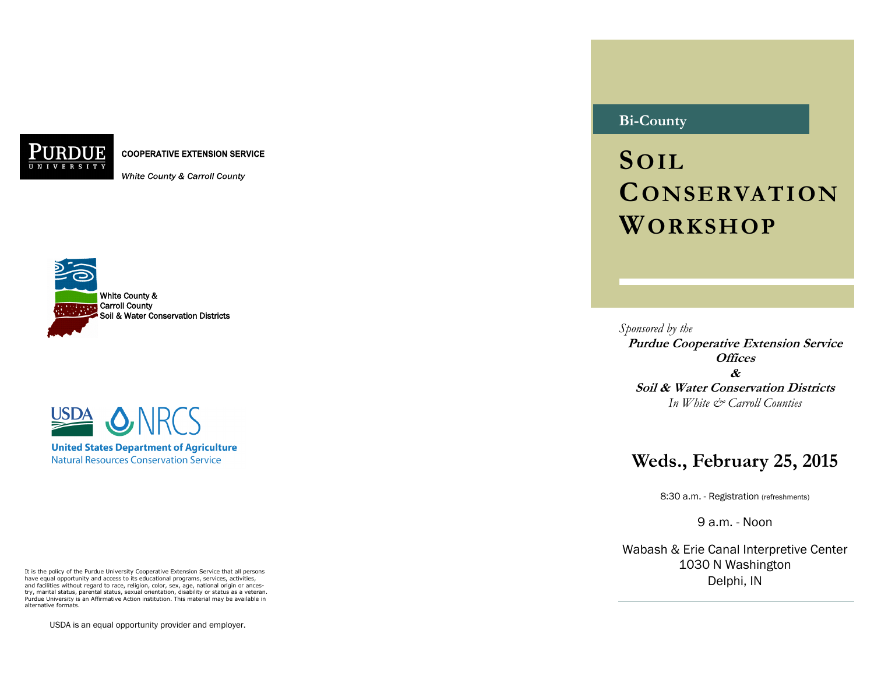**COOPERATIVE EXTENSION SERVICE** 

White County & Carroll County





It is the policy of the Purdue University Cooperative Extension Service that all persons have equal opportunity and access to its educational programs, services, activities, and facilities without regard to race, religion, color, sex, age, national origin or ancestry, marital status, parental status, sexual orientation, disability or status as a veteran. Purdue University is an Affirmative Action institution. This material may be available in alternative formats.

USDA is an equal opportunity provider and employer.

# **Bi-County**

**SOIL CONSERVATION WORKSHOP**

*Sponsored by the* **Purdue Cooperative Extension Service Offices & Soil & Water Conservation Districts** *In White & Carroll Counties*

# **Weds., February 25, 2015**

8:30 a.m. - Registration (refreshments)

9 a.m. - Noon

Wabash & Erie Canal Interpretive Center 1030 N Washington Delphi, IN